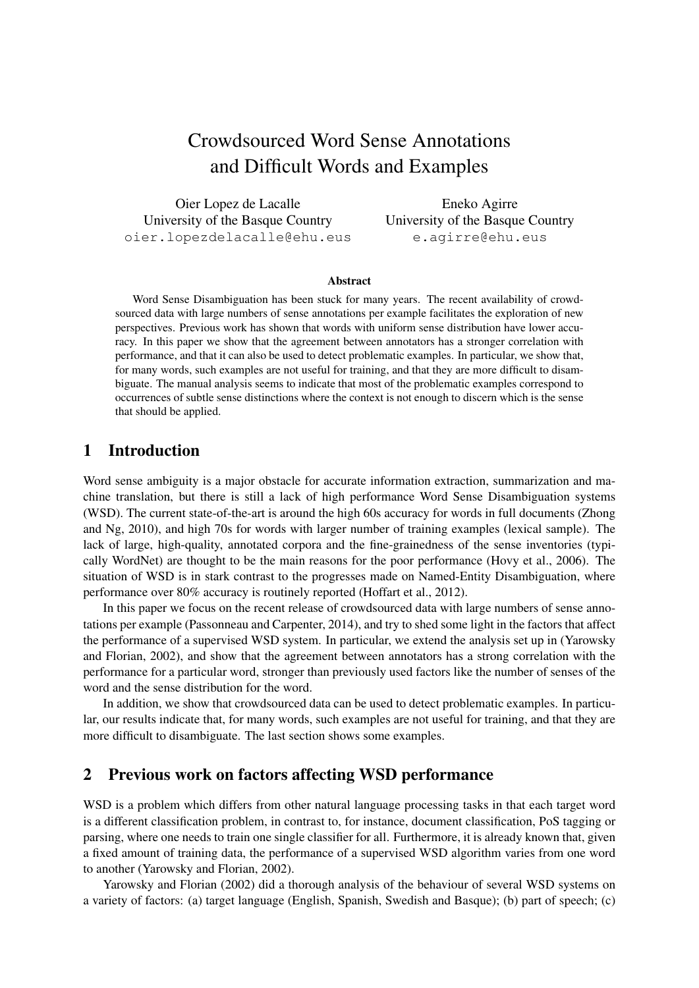# Crowdsourced Word Sense Annotations and Difficult Words and Examples

Oier Lopez de Lacalle University of the Basque Country oier.lopezdelacalle@ehu.eus

Eneko Agirre University of the Basque Country e.agirre@ehu.eus

#### Abstract

Word Sense Disambiguation has been stuck for many years. The recent availability of crowdsourced data with large numbers of sense annotations per example facilitates the exploration of new perspectives. Previous work has shown that words with uniform sense distribution have lower accuracy. In this paper we show that the agreement between annotators has a stronger correlation with performance, and that it can also be used to detect problematic examples. In particular, we show that, for many words, such examples are not useful for training, and that they are more difficult to disambiguate. The manual analysis seems to indicate that most of the problematic examples correspond to occurrences of subtle sense distinctions where the context is not enough to discern which is the sense that should be applied.

#### 1 Introduction

Word sense ambiguity is a major obstacle for accurate information extraction, summarization and machine translation, but there is still a lack of high performance Word Sense Disambiguation systems (WSD). The current state-of-the-art is around the high 60s accuracy for words in full documents (Zhong and Ng, 2010), and high 70s for words with larger number of training examples (lexical sample). The lack of large, high-quality, annotated corpora and the fine-grainedness of the sense inventories (typically WordNet) are thought to be the main reasons for the poor performance (Hovy et al., 2006). The situation of WSD is in stark contrast to the progresses made on Named-Entity Disambiguation, where performance over 80% accuracy is routinely reported (Hoffart et al., 2012).

In this paper we focus on the recent release of crowdsourced data with large numbers of sense annotations per example (Passonneau and Carpenter, 2014), and try to shed some light in the factors that affect the performance of a supervised WSD system. In particular, we extend the analysis set up in (Yarowsky and Florian, 2002), and show that the agreement between annotators has a strong correlation with the performance for a particular word, stronger than previously used factors like the number of senses of the word and the sense distribution for the word.

In addition, we show that crowdsourced data can be used to detect problematic examples. In particular, our results indicate that, for many words, such examples are not useful for training, and that they are more difficult to disambiguate. The last section shows some examples.

#### 2 Previous work on factors affecting WSD performance

WSD is a problem which differs from other natural language processing tasks in that each target word is a different classification problem, in contrast to, for instance, document classification, PoS tagging or parsing, where one needs to train one single classifier for all. Furthermore, it is already known that, given a fixed amount of training data, the performance of a supervised WSD algorithm varies from one word to another (Yarowsky and Florian, 2002).

Yarowsky and Florian (2002) did a thorough analysis of the behaviour of several WSD systems on a variety of factors: (a) target language (English, Spanish, Swedish and Basque); (b) part of speech; (c)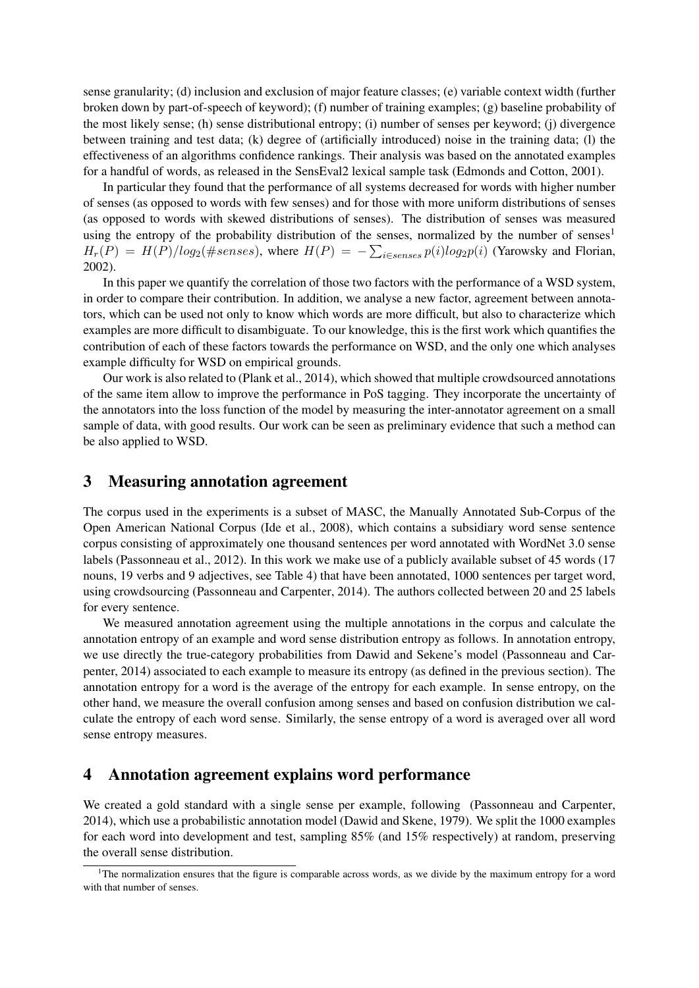sense granularity; (d) inclusion and exclusion of major feature classes; (e) variable context width (further broken down by part-of-speech of keyword); (f) number of training examples; (g) baseline probability of the most likely sense; (h) sense distributional entropy; (i) number of senses per keyword; (j) divergence between training and test data; (k) degree of (artificially introduced) noise in the training data; (l) the effectiveness of an algorithms confidence rankings. Their analysis was based on the annotated examples for a handful of words, as released in the SensEval2 lexical sample task (Edmonds and Cotton, 2001).

In particular they found that the performance of all systems decreased for words with higher number of senses (as opposed to words with few senses) and for those with more uniform distributions of senses (as opposed to words with skewed distributions of senses). The distribution of senses was measured using the entropy of the probability distribution of the senses, normalized by the number of senses<sup>1</sup>  $H_r(P) = H(P)/log_2(\#senses)$ , where  $H(P) = -\sum_{i \in senses} p(i)log_2p(i)$  (Yarowsky and Florian, 2002).

In this paper we quantify the correlation of those two factors with the performance of a WSD system, in order to compare their contribution. In addition, we analyse a new factor, agreement between annotators, which can be used not only to know which words are more difficult, but also to characterize which examples are more difficult to disambiguate. To our knowledge, this is the first work which quantifies the contribution of each of these factors towards the performance on WSD, and the only one which analyses example difficulty for WSD on empirical grounds.

Our work is also related to (Plank et al., 2014), which showed that multiple crowdsourced annotations of the same item allow to improve the performance in PoS tagging. They incorporate the uncertainty of the annotators into the loss function of the model by measuring the inter-annotator agreement on a small sample of data, with good results. Our work can be seen as preliminary evidence that such a method can be also applied to WSD.

### 3 Measuring annotation agreement

The corpus used in the experiments is a subset of MASC, the Manually Annotated Sub-Corpus of the Open American National Corpus (Ide et al., 2008), which contains a subsidiary word sense sentence corpus consisting of approximately one thousand sentences per word annotated with WordNet 3.0 sense labels (Passonneau et al., 2012). In this work we make use of a publicly available subset of 45 words (17 nouns, 19 verbs and 9 adjectives, see Table 4) that have been annotated, 1000 sentences per target word, using crowdsourcing (Passonneau and Carpenter, 2014). The authors collected between 20 and 25 labels for every sentence.

We measured annotation agreement using the multiple annotations in the corpus and calculate the annotation entropy of an example and word sense distribution entropy as follows. In annotation entropy, we use directly the true-category probabilities from Dawid and Sekene's model (Passonneau and Carpenter, 2014) associated to each example to measure its entropy (as defined in the previous section). The annotation entropy for a word is the average of the entropy for each example. In sense entropy, on the other hand, we measure the overall confusion among senses and based on confusion distribution we calculate the entropy of each word sense. Similarly, the sense entropy of a word is averaged over all word sense entropy measures.

#### 4 Annotation agreement explains word performance

We created a gold standard with a single sense per example, following (Passonneau and Carpenter, 2014), which use a probabilistic annotation model (Dawid and Skene, 1979). We split the 1000 examples for each word into development and test, sampling 85% (and 15% respectively) at random, preserving the overall sense distribution.

 $1$ The normalization ensures that the figure is comparable across words, as we divide by the maximum entropy for a word with that number of senses.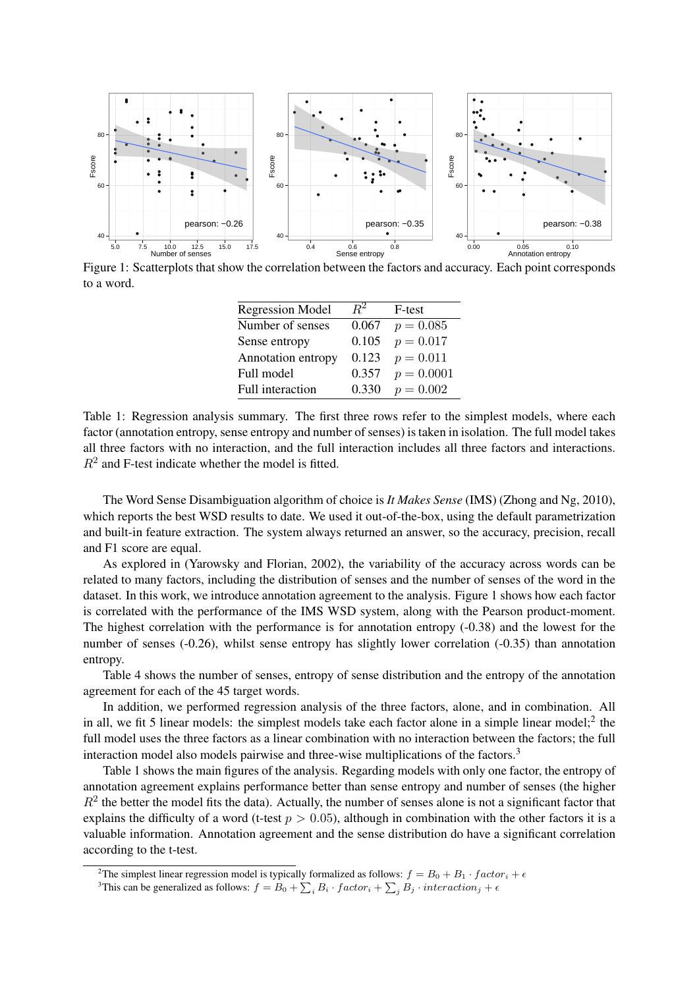

Figure 1: Scatterplots that show the correlation between the factors and accuracy. Each point corresponds to a word.

| <b>Regression Model</b> | $R^2$ | F-test       |
|-------------------------|-------|--------------|
| Number of senses        | 0.067 | $p = 0.085$  |
| Sense entropy           | 0.105 | $p = 0.017$  |
| Annotation entropy      | 0.123 | $p = 0.011$  |
| Full model              | 0.357 | $p = 0.0001$ |
| Full interaction        | 0.330 | $p = 0.002$  |

Table 1: Regression analysis summary. The first three rows refer to the simplest models, where each factor (annotation entropy, sense entropy and number of senses) is taken in isolation. The full model takes all three factors with no interaction, and the full interaction includes all three factors and interactions.  $R<sup>2</sup>$  and F-test indicate whether the model is fitted.

The Word Sense Disambiguation algorithm of choice is *It Makes Sense* (IMS) (Zhong and Ng, 2010), which reports the best WSD results to date. We used it out-of-the-box, using the default parametrization and built-in feature extraction. The system always returned an answer, so the accuracy, precision, recall and F1 score are equal.

As explored in (Yarowsky and Florian, 2002), the variability of the accuracy across words can be related to many factors, including the distribution of senses and the number of senses of the word in the dataset. In this work, we introduce annotation agreement to the analysis. Figure 1 shows how each factor is correlated with the performance of the IMS WSD system, along with the Pearson product-moment. The highest correlation with the performance is for annotation entropy (-0.38) and the lowest for the number of senses (-0.26), whilst sense entropy has slightly lower correlation (-0.35) than annotation entropy.

Table 4 shows the number of senses, entropy of sense distribution and the entropy of the annotation agreement for each of the 45 target words.

In addition, we performed regression analysis of the three factors, alone, and in combination. All in all, we fit 5 linear models: the simplest models take each factor alone in a simple linear model;  $2$  the full model uses the three factors as a linear combination with no interaction between the factors; the full interaction model also models pairwise and three-wise multiplications of the factors.<sup>3</sup>

Table 1 shows the main figures of the analysis. Regarding models with only one factor, the entropy of annotation agreement explains performance better than sense entropy and number of senses (the higher  $R<sup>2</sup>$  the better the model fits the data). Actually, the number of senses alone is not a significant factor that explains the difficulty of a word (t-test  $p > 0.05$ ), although in combination with the other factors it is a valuable information. Annotation agreement and the sense distribution do have a significant correlation according to the t-test.

<sup>&</sup>lt;sup>2</sup>The simplest linear regression model is typically formalized as follows:  $f = B_0 + B_1 \cdot factor_i + \epsilon$ 

<sup>&</sup>lt;sup>3</sup>This can be generalized as follows:  $f = B_0 + \sum_i B_i \cdot factor_i + \sum_j B_j \cdot interaction_j + \epsilon$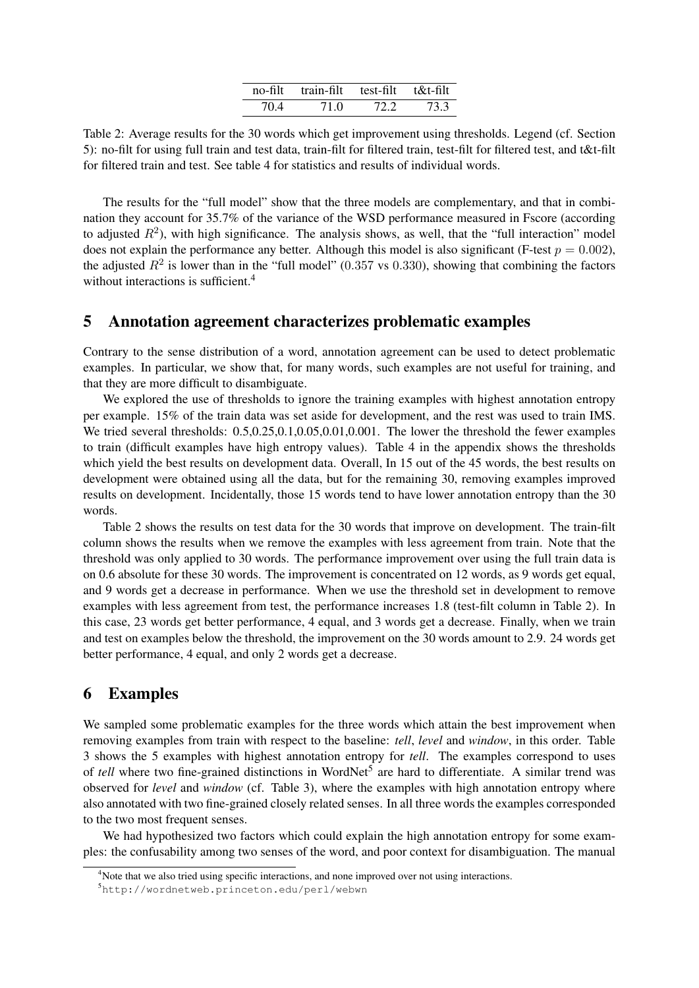| $no-filt$ | train-filt | test-filt | t&t-filt |
|-----------|------------|-----------|----------|
| 704       | 71 O       | 72 Z      | 733      |

Table 2: Average results for the 30 words which get improvement using thresholds. Legend (cf. Section 5): no-filt for using full train and test data, train-filt for filtered train, test-filt for filtered test, and t&t-filt for filtered train and test. See table 4 for statistics and results of individual words.

The results for the "full model" show that the three models are complementary, and that in combination they account for 35.7% of the variance of the WSD performance measured in Fscore (according to adjusted  $R^2$ ), with high significance. The analysis shows, as well, that the "full interaction" model does not explain the performance any better. Although this model is also significant (F-test  $p = 0.002$ ), the adjusted  $R^2$  is lower than in the "full model" (0.357 vs 0.330), showing that combining the factors without interactions is sufficient.<sup>4</sup>

#### 5 Annotation agreement characterizes problematic examples

Contrary to the sense distribution of a word, annotation agreement can be used to detect problematic examples. In particular, we show that, for many words, such examples are not useful for training, and that they are more difficult to disambiguate.

We explored the use of thresholds to ignore the training examples with highest annotation entropy per example. 15% of the train data was set aside for development, and the rest was used to train IMS. We tried several thresholds:  $0.5, 0.25, 0.1, 0.05, 0.01, 0.001$ . The lower the threshold the fewer examples to train (difficult examples have high entropy values). Table 4 in the appendix shows the thresholds which yield the best results on development data. Overall, In 15 out of the 45 words, the best results on development were obtained using all the data, but for the remaining 30, removing examples improved results on development. Incidentally, those 15 words tend to have lower annotation entropy than the 30 words.

Table 2 shows the results on test data for the 30 words that improve on development. The train-filt column shows the results when we remove the examples with less agreement from train. Note that the threshold was only applied to 30 words. The performance improvement over using the full train data is on 0.6 absolute for these 30 words. The improvement is concentrated on 12 words, as 9 words get equal, and 9 words get a decrease in performance. When we use the threshold set in development to remove examples with less agreement from test, the performance increases 1.8 (test-filt column in Table 2). In this case, 23 words get better performance, 4 equal, and 3 words get a decrease. Finally, when we train and test on examples below the threshold, the improvement on the 30 words amount to 2.9. 24 words get better performance, 4 equal, and only 2 words get a decrease.

#### 6 Examples

We sampled some problematic examples for the three words which attain the best improvement when removing examples from train with respect to the baseline: *tell*, *level* and *window*, in this order. Table 3 shows the 5 examples with highest annotation entropy for *tell*. The examples correspond to uses of *tell* where two fine-grained distinctions in WordNet<sup>5</sup> are hard to differentiate. A similar trend was observed for *level* and *window* (cf. Table 3), where the examples with high annotation entropy where also annotated with two fine-grained closely related senses. In all three words the examples corresponded to the two most frequent senses.

We had hypothesized two factors which could explain the high annotation entropy for some examples: the confusability among two senses of the word, and poor context for disambiguation. The manual

<sup>&</sup>lt;sup>4</sup>Note that we also tried using specific interactions, and none improved over not using interactions.

<sup>5</sup>http://wordnetweb.princeton.edu/perl/webwn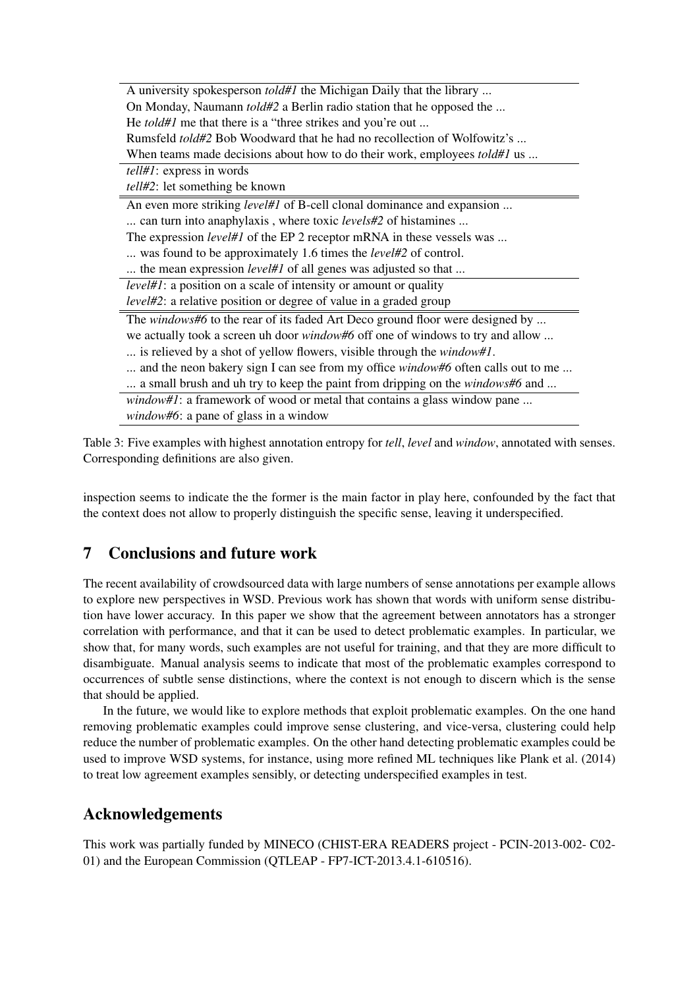| A university spokesperson <i>told#1</i> the Michigan Daily that the library             |
|-----------------------------------------------------------------------------------------|
| On Monday, Naumann <i>told#2</i> a Berlin radio station that he opposed the             |
| He <i>told#1</i> me that there is a "three strikes and you're out                       |
| Rumsfeld told#2 Bob Woodward that he had no recollection of Wolfowitz's                 |
| When teams made decisions about how to do their work, employees <i>told#1</i> us        |
| $tell#1$ : express in words                                                             |
| <i>tell#2</i> : let something be known                                                  |
| An even more striking <i>level#1</i> of B-cell clonal dominance and expansion           |
| can turn into anaphylaxis, where toxic <i>levels#2</i> of histamines                    |
| The expression <i>level#1</i> of the EP 2 receptor mRNA in these vessels was            |
| was found to be approximately 1.6 times the <i>level#2</i> of control.                  |
| the mean expression <i>level#1</i> of all genes was adjusted so that                    |
| <i>level#1</i> : a position on a scale of intensity or amount or quality                |
| <i>level#2</i> : a relative position or degree of value in a graded group               |
| The windows#6 to the rear of its faded Art Deco ground floor were designed by           |
| we actually took a screen uh door <i>window#6</i> off one of windows to try and allow   |
| is relieved by a shot of yellow flowers, visible through the <i>window#1</i> .          |
| and the neon bakery sign I can see from my office <i>window#6</i> often calls out to me |
| a small brush and uh try to keep the paint from dripping on the windows#6 and           |
| <i>window#1</i> : a framework of wood or metal that contains a glass window pane        |
| window#6: a pane of glass in a window                                                   |

Table 3: Five examples with highest annotation entropy for *tell*, *level* and *window*, annotated with senses. Corresponding definitions are also given.

inspection seems to indicate the the former is the main factor in play here, confounded by the fact that the context does not allow to properly distinguish the specific sense, leaving it underspecified.

### 7 Conclusions and future work

The recent availability of crowdsourced data with large numbers of sense annotations per example allows to explore new perspectives in WSD. Previous work has shown that words with uniform sense distribution have lower accuracy. In this paper we show that the agreement between annotators has a stronger correlation with performance, and that it can be used to detect problematic examples. In particular, we show that, for many words, such examples are not useful for training, and that they are more difficult to disambiguate. Manual analysis seems to indicate that most of the problematic examples correspond to occurrences of subtle sense distinctions, where the context is not enough to discern which is the sense that should be applied.

In the future, we would like to explore methods that exploit problematic examples. On the one hand removing problematic examples could improve sense clustering, and vice-versa, clustering could help reduce the number of problematic examples. On the other hand detecting problematic examples could be used to improve WSD systems, for instance, using more refined ML techniques like Plank et al. (2014) to treat low agreement examples sensibly, or detecting underspecified examples in test.

### Acknowledgements

This work was partially funded by MINECO (CHIST-ERA READERS project - PCIN-2013-002- C02- 01) and the European Commission (QTLEAP - FP7-ICT-2013.4.1-610516).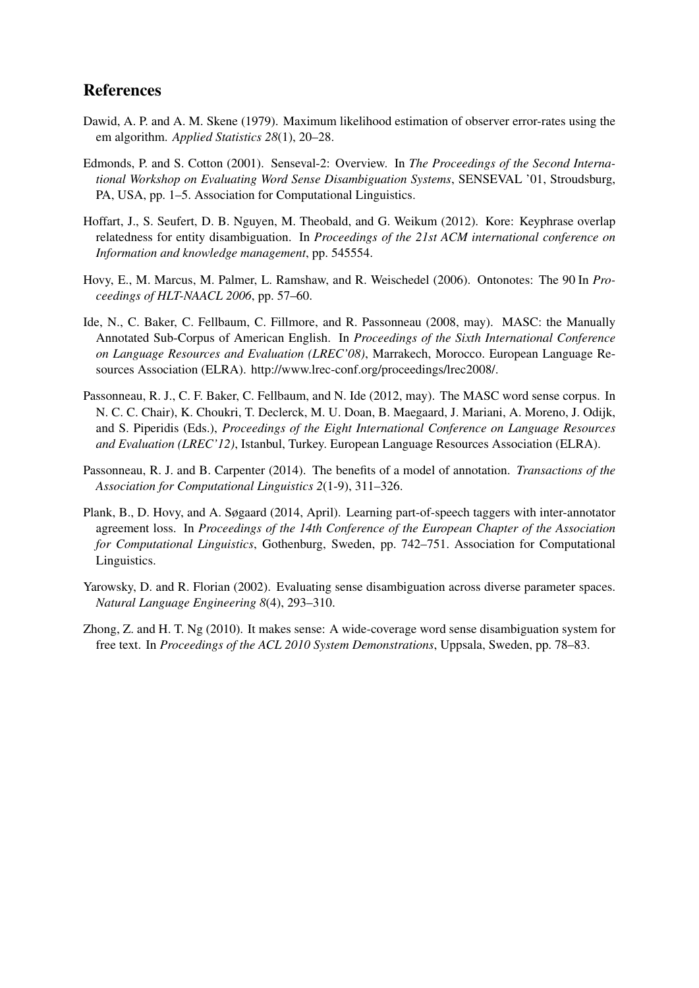### References

- Dawid, A. P. and A. M. Skene (1979). Maximum likelihood estimation of observer error-rates using the em algorithm. *Applied Statistics 28*(1), 20–28.
- Edmonds, P. and S. Cotton (2001). Senseval-2: Overview. In *The Proceedings of the Second International Workshop on Evaluating Word Sense Disambiguation Systems*, SENSEVAL '01, Stroudsburg, PA, USA, pp. 1–5. Association for Computational Linguistics.
- Hoffart, J., S. Seufert, D. B. Nguyen, M. Theobald, and G. Weikum (2012). Kore: Keyphrase overlap relatedness for entity disambiguation. In *Proceedings of the 21st ACM international conference on Information and knowledge management*, pp. 545554.
- Hovy, E., M. Marcus, M. Palmer, L. Ramshaw, and R. Weischedel (2006). Ontonotes: The 90 In *Proceedings of HLT-NAACL 2006*, pp. 57–60.
- Ide, N., C. Baker, C. Fellbaum, C. Fillmore, and R. Passonneau (2008, may). MASC: the Manually Annotated Sub-Corpus of American English. In *Proceedings of the Sixth International Conference on Language Resources and Evaluation (LREC'08)*, Marrakech, Morocco. European Language Resources Association (ELRA). http://www.lrec-conf.org/proceedings/lrec2008/.
- Passonneau, R. J., C. F. Baker, C. Fellbaum, and N. Ide (2012, may). The MASC word sense corpus. In N. C. C. Chair), K. Choukri, T. Declerck, M. U. Doan, B. Maegaard, J. Mariani, A. Moreno, J. Odijk, and S. Piperidis (Eds.), *Proceedings of the Eight International Conference on Language Resources and Evaluation (LREC'12)*, Istanbul, Turkey. European Language Resources Association (ELRA).
- Passonneau, R. J. and B. Carpenter (2014). The benefits of a model of annotation. *Transactions of the Association for Computational Linguistics 2*(1-9), 311–326.
- Plank, B., D. Hovy, and A. Søgaard (2014, April). Learning part-of-speech taggers with inter-annotator agreement loss. In *Proceedings of the 14th Conference of the European Chapter of the Association for Computational Linguistics*, Gothenburg, Sweden, pp. 742–751. Association for Computational Linguistics.
- Yarowsky, D. and R. Florian (2002). Evaluating sense disambiguation across diverse parameter spaces. *Natural Language Engineering 8*(4), 293–310.
- Zhong, Z. and H. T. Ng (2010). It makes sense: A wide-coverage word sense disambiguation system for free text. In *Proceedings of the ACL 2010 System Demonstrations*, Uppsala, Sweden, pp. 78–83.